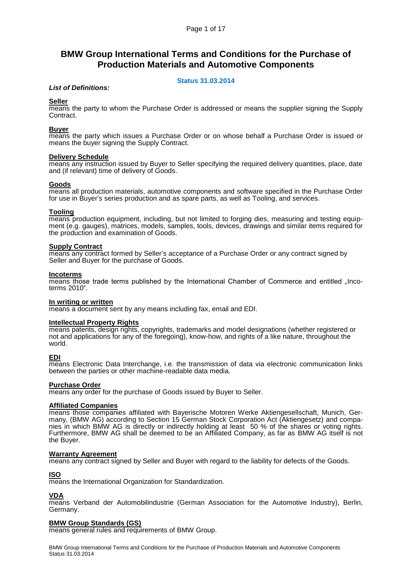# **BMW Group International Terms and Conditions for the Purchase of Production Materials and Automotive Components**

# **Status 31.03.2014**

## *List of Definitions:*

## **Seller**

means the party to whom the Purchase Order is addressed or means the supplier signing the Supply Contract.

## **Buyer**

means the party which issues a Purchase Order or on whose behalf a Purchase Order is issued or means the buyer signing the Supply Contract.

## **Delivery Schedule**

means any instruction issued by Buyer to Seller specifying the required delivery quantities, place, date and (if relevant) time of delivery of Goods.

## **Goods**

means all production materials, automotive components and software specified in the Purchase Order for use in Buyer's series production and as spare parts, as well as Tooling, and services.

## **Tooling**

means production equipment, including, but not limited to forging dies, measuring and testing equipment (e.g. gauges), matrices, models, samples, tools, devices, drawings and similar items required for the production and examination of Goods.

#### **Supply Contract**

means any contract formed by Seller's acceptance of a Purchase Order or any contract signed by Seller and Buyer for the purchase of Goods.

#### **Incoterms**

means those trade terms published by the International Chamber of Commerce and entitled ... Incoterms 2010".

## **In writing or written**

means a document sent by any means including fax, email and EDI.

#### **Intellectual Property Rights**

means patents, design rights, copyrights, trademarks and model designations (whether registered or not and applications for any of the foregoing), know-how, and rights of a like nature, throughout the world.

## **EDI**

means Electronic Data Interchange, i.e. the transmission of data via electronic communication links between the parties or other machine-readable data media.

## **Purchase Order**

means any order for the purchase of Goods issued by Buyer to Seller.

#### **Affiliated Companies**

means those companies affiliated with Bayerische Motoren Werke Aktiengesellschaft, Munich, Germany, (BMW AG) according to Section 15 German Stock Corporation Act (Aktiengesetz) and companies in which BMW AG is directly or indirectly holding at least 50 % of the shares or voting rights. Furthermore, BMW AG shall be deemed to be an Affiliated Company, as far as BMW AG itself is not the Buyer.

#### **Warranty Agreement**

means any contract signed by Seller and Buyer with regard to the liability for defects of the Goods.

## **ISO**

means the International Organization for Standardization.

## **VDA**

means Verband der Automobilindustrie (German Association for the Automotive Industry), Berlin, Germany.

## **BMW Group Standards (GS)**

means general rules and requirements of BMW Group.

BMW Group International Terms and Conditions for the Purchase of Production Materials and Automotive Components Status 31.03.2014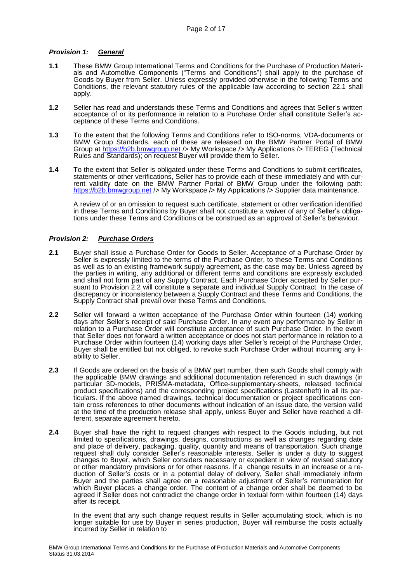# *Provision 1: General*

- **1.1** These BMW Group International Terms and Conditions for the Purchase of Production Materials and Automotive Components ("Terms and Conditions") shall apply to the purchase of Goods by Buyer from Seller. Unless expressly provided otherwise in the following Terms and Conditions, the relevant statutory rules of the applicable law according to section 22.1 shall apply.
- **1.2** Seller has read and understands these Terms and Conditions and agrees that Seller's written acceptance of or its performance in relation to a Purchase Order shall constitute Seller's acceptance of these Terms and Conditions.
- **1.3** To the extent that the following Terms and Conditions refer to ISO-norms, VDA-documents or BMW Group Standards, each of these are released on the BMW Partner Portal of BMW Group at [https://b2b.bmwgroup.net](https://b2b.bmwgroup.net/) /> My Workspace /> My Applications /> TEREG (Technical Rules and Standards); on request Buyer will provide them to Seller.
- **1.4** To the extent that Seller is obligated under these Terms and Conditions to submit certificates, statements or other verifications, Seller has to provide each of these immediately and with current validity date on the BMW Partner Portal of BMW Group under the following path: [https://b2b.bmwgroup.net](https://b2b.bmwgroup.net/) /> My Workspace /> My Applications /> Supplier data maintenance.

 A review of or an omission to request such certificate, statement or other verification identified in these Terms and Conditions by Buyer shall not constitute a waiver of any of Seller's obligations under these Terms and Conditions or be construed as an approval of Seller's behaviour.

# *Provision 2: Purchase Orders*

- **2.1** Buyer shall issue a Purchase Order for Goods to Seller. Acceptance of a Purchase Order by Seller is expressly limited to the terms of the Purchase Order, to these Terms and Conditions as well as to an existing framework supply agreement, as the case may be. Unless agreed by the parties in writing, any additional or different terms and conditions are expressly excluded and shall not form part of any Supply Contract. Each Purchase Order accepted by Seller pursuant to Provision 2.2 will constitute a separate and individual Supply Contract. In the case of discrepancy or inconsistency between a Supply Contract and these Terms and Conditions, the Supply Contract shall prevail over these Terms and Conditions.
- **2.2** Seller will forward a written acceptance of the Purchase Order within fourteen (14) working days after Seller's receipt of said Purchase Order. In any event any performance by Seller in relation to a Purchase Order will constitute acceptance of such Purchase Order. In the event that Seller does not forward a written acceptance or does not start performance in relation to a Purchase Order within fourteen (14) working days after Seller's receipt of the Purchase Order, Buyer shall be entitled but not obliged, to revoke such Purchase Order without incurring any liability to Seller.
- **2.3** If Goods are ordered on the basis of a BMW part number, then such Goods shall comply with the applicable BMW drawings and additional documentation referenced in such drawings (in particular 3D-models, PRISMA-metadata, Office-supplementary-sheets, released technical product specifications) and the corresponding project specifications (Lastenheft) in all its particulars. If the above named drawings, technical documentation or project specifications contain cross references to other documents without indication of an issue date, the version valid at the time of the production release shall apply, unless Buyer and Seller have reached a different, separate agreement hereto.
- **2.4** Buyer shall have the right to request changes with respect to the Goods including, but not limited to specifications, drawings, designs, constructions as well as changes regarding date and place of delivery, packaging, quality, quantity and means of transportation. Such change request shall duly consider Seller's reasonable interests. Seller is under a duty to suggest changes to Buyer, which Seller considers necessary or expedient in view of revised statutory or other mandatory provisions or for other reasons. If a change results in an increase or a reduction of Seller's costs or in a potential delay of delivery, Seller shall immediately inform Buyer and the parties shall agree on a reasonable adjustment of Seller's remuneration for which Buyer places a change order. The content of a change order shall be deemed to be agreed if Seller does not contradict the change order in textual form within fourteen (14) days after its receipt.

In the event that any such change request results in Seller accumulating stock, which is no longer suitable for use by Buyer in series production, Buyer will reimburse the costs actually incurred by Seller in relation to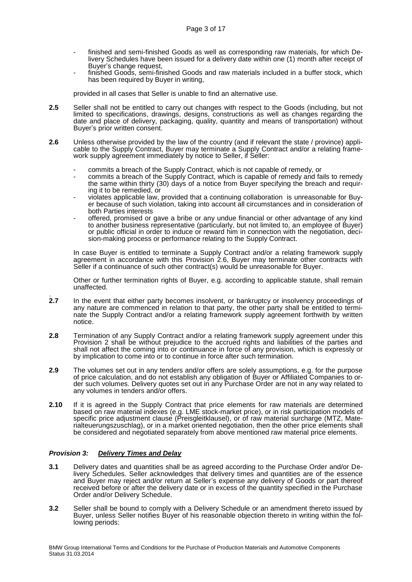- finished and semi-finished Goods as well as corresponding raw materials, for which Delivery Schedules have been issued for a delivery date within one (1) month after receipt of Buyer's change request,
- finished Goods, semi-finished Goods and raw materials included in a buffer stock, which has been required by Buyer in writing,

provided in all cases that Seller is unable to find an alternative use.

- **2.5** Seller shall not be entitled to carry out changes with respect to the Goods (including, but not limited to specifications, drawings, designs, constructions as well as changes regarding the date and place of delivery, packaging, quality, quantity and means of transportation) without Buyer's prior written consent.
- **2.6** Unless otherwise provided by the law of the country (and if relevant the state / province) applicable to the Supply Contract, Buyer may terminate a Supply Contract and/or a relating framework supply agreement immediately by notice to Seller, if Seller:
	- commits a breach of the Supply Contract, which is not capable of remedy, or
	- commits a breach of the Supply Contract, which is capable of remedy and fails to remedy the same within thirty (30) days of a notice from Buyer specifying the breach and requiring it to be remedied, or
	- violates applicable law, provided that a continuing collaboration is unreasonable for Buyer because of such violation, taking into account all circumstances and in consideration of both Parties interests
	- offered, promised or gave a bribe or any undue financial or other advantage of any kind to another business representative (particularly, but not limited to, an employee of Buyer) or public official in order to induce or reward him in connection with the negotiation, decision-making process or performance relating to the Supply Contract.

In case Buyer is entitled to terminate a Supply Contract and/or a relating framework supply agreement in accordance with this Provision 2.6, Buyer may terminate other contracts with Seller if a continuance of such other contract(s) would be unreasonable for Buyer.

Other or further termination rights of Buyer, e.g. according to applicable statute, shall remain unaffected.

- . **2.7** In the event that either party becomes insolvent, or bankruptcy or insolvency proceedings of any nature are commenced in relation to that party, the other party shall be entitled to terminate the Supply Contract and/or a relating framework supply agreement forthwith by written notice.
- **2.8** Termination of any Supply Contract and/or a relating framework supply agreement under this Provision 2 shall be without prejudice to the accrued rights and liabilities of the parties and shall not affect the coming into or continuance in force of any provision, which is expressly or by implication to come into or to continue in force after such termination.
- **2.9** The volumes set out in any tenders and/or offers are solely assumptions, e.g. for the purpose of price calculation, and do not establish any obligation of Buyer or Affiliated Companies to order such volumes. Delivery quotes set out in any Purchase Order are not in any way related to any volumes in tenders and/or offers.
- **2.10** If it is agreed in the Supply Contract that price elements for raw materials are determined based on raw material indexes (e.g. LME stock-market price), or in risk participation models of specific price adjustment clause (Preisgleitklausel), or of raw material surcharge (MTZ, Materialteuerungszuschlag), or in a market oriented negotiation, then the other price elements shall be considered and negotiated separately from above mentioned raw material price elements.

# *Provision 3: Delivery Times and Delay*

- **3.1** Delivery dates and quantities shall be as agreed according to the Purchase Order and/or Delivery Schedules. Seller acknowledges that delivery times and quantities are of the essence and Buyer may reject and/or return at Seller's expense any delivery of Goods or part thereof received before or after the delivery date or in excess of the quantity specified in the Purchase Order and/or Delivery Schedule.
- **3.2** Seller shall be bound to comply with a Delivery Schedule or an amendment thereto issued by Buyer, unless Seller notifies Buyer of his reasonable objection thereto in writing within the following periods: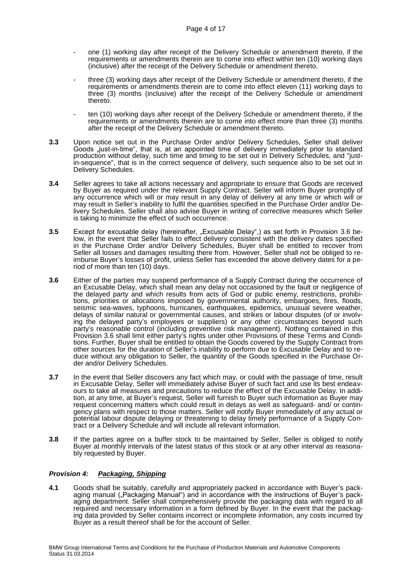- one (1) working day after receipt of the Delivery Schedule or amendment thereto, if the requirements or amendments therein are to come into effect within ten (10) working days (inclusive) after the receipt of the Delivery Schedule or amendment thereto.
- three (3) working days after receipt of the Delivery Schedule or amendment thereto, if the requirements or amendments therein are to come into effect eleven (11) working days to three (3) months (inclusive) after the receipt of the Delivery Schedule or amendment thereto.
- ten (10) working days after receipt of the Delivery Schedule or amendment thereto, if the requirements or amendments therein are to come into effect more than three (3) months after the receipt of the Delivery Schedule or amendment thereto.
- **3.3** Upon notice set out in the Purchase Order and/or Delivery Schedules, Seller shall deliver Goods ..just-in-time", that is, at an appointed time of delivery immediately prior to standard production without delay, such time and timing to be set out in Delivery Schedules, and "justin-sequence", that is in the correct sequence of delivery, such sequence also to be set out in Delivery Schedules.
- **3.4** Seller agrees to take all actions necessary and appropriate to ensure that Goods are received by Buyer as required under the relevant Supply Contract. Seller will inform Buyer promptly of any occurrence which will or may result in any delay of delivery at any time or which will or may result in Seller's inability to fulfil the quantities specified in the Purchase Order and/or Delivery Schedules. Seller shall also advise Buyer in writing of corrective measures which Seller is taking to minimize the effect of such occurrence.
- **3.5** Except for excusable delay (hereinafter, "Excusable Delay",) as set forth in Provision 3.6 below, in the event that Seller fails to effect delivery consistent with the delivery dates specified in the Purchase Order and/or Delivery Schedules, Buyer shall be entitled to recover from Seller all losses and damages resulting there from. However, Seller shall not be obliged to reimburse Buyer's losses of profit, unless Seller has exceeded the above delivery dates for a period of more than ten (10) days.
- **3.6** Either of the parties may suspend performance of a Supply Contract during the occurrence of an Excusable Delay, which shall mean any delay not occasioned by the fault or negligence of the delayed party and which results from acts of God or public enemy, restrictions, prohibitions, priorities or allocations imposed by governmental authority, embargoes, fires, floods, seismic sea-waves, typhoons, hurricanes, earthquakes, epidemics, unusual severe weather, delays of similar natural or governmental causes, and strikes or labour disputes (of or involving the delayed party's employees or suppliers) or any other circumstances beyond such party's reasonable control (including preventive risk management). Nothing contained in this Provision 3.6 shall limit either party's rights under other Provisions of these Terms and Conditions. Further, Buyer shall be entitled to obtain the Goods covered by the Supply Contract from other sources for the duration of Seller's inability to perform due to Excusable Delay and to reduce without any obligation to Seller, the quantity of the Goods specified in the Purchase Order and/or Delivery Schedules.
- **3.7** In the event that Seller discovers any fact which may, or could with the passage of time, result in Excusable Delay, Seller will immediately advise Buyer of such fact and use its best endeavours to take all measures and precautions to reduce the effect of the Excusable Delay. In addition, at any time, at Buyer's request, Seller will furnish to Buyer such information as Buyer may request concerning matters which could result in delays as well as safeguard- and/ or contingency plans with respect to those matters. Seller will notify Buyer immediately of any actual or potential labour dispute delaying or threatening to delay timely performance of a Supply Contract or a Delivery Schedule and will include all relevant information.
- **3.8** If the parties agree on a buffer stock to be maintained by Seller, Seller is obliged to notify Buyer at monthly intervals of the latest status of this stock or at any other interval as reasonably requested by Buyer.

## *Provision 4: Packaging, Shipping*

**4.1** Goods shall be suitably, carefully and appropriately packed in accordance with Buyer's packaging manual ("Packaging Manual") and in accordance with the instructions of Buyer's packaging marked with comprehensively provide the packaging data with regard to all required and necessary information in a form defined by Buyer. In the event that the packaging data provided by Seller contains incorrect or incomplete information, any costs incurred by Buyer as a result thereof shall be for the account of Seller.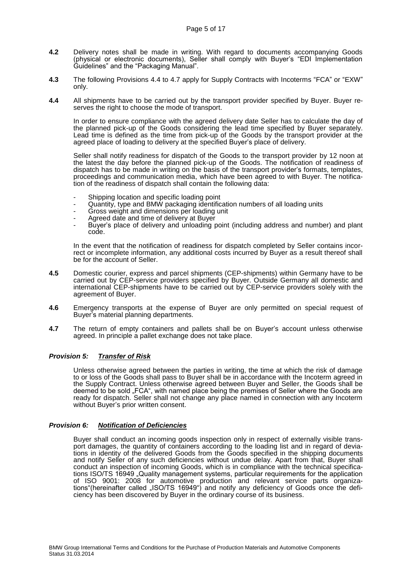- **4.2** Delivery notes shall be made in writing. With regard to documents accompanying Goods (physical or electronic documents), Seller shall comply with Buyer's "EDI Implementation Guidelines" and the "Packaging Manual".
- **4.3** The following Provisions 4.4 to 4.7 apply for Supply Contracts with Incoterms "FCA" or "EXW" only.
- **4.4** All shipments have to be carried out by the transport provider specified by Buyer. Buyer reserves the right to choose the mode of transport.

In order to ensure compliance with the agreed delivery date Seller has to calculate the day of the planned pick-up of the Goods considering the lead time specified by Buyer separately. Lead time is defined as the time from pick-up of the Goods by the transport provider at the agreed place of loading to delivery at the specified Buyer's place of delivery.

Seller shall notify readiness for dispatch of the Goods to the transport provider by 12 noon at the latest the day before the planned pick-up of the Goods. The notification of readiness of dispatch has to be made in writing on the basis of the transport provider's formats, templates, proceedings and communication media, which have been agreed to with Buyer. The notification of the readiness of dispatch shall contain the following data:

- Shipping location and specific loading point
- Quantity, type and BMW packaging identification numbers of all loading units
- Gross weight and dimensions per loading unit
- Agreed date and time of delivery at Buyer
- Buyer's place of delivery and unloading point (including address and number) and plant code.

In the event that the notification of readiness for dispatch completed by Seller contains incorrect or incomplete information, any additional costs incurred by Buyer as a result thereof shall be for the account of Seller.

- **4.5** Domestic courier, express and parcel shipments (CEP-shipments) within Germany have to be carried out by CEP-service providers specified by Buyer. Outside Germany all domestic and international CEP-shipments have to be carried out by CEP-service providers solely with the agreement of Buyer.
- **4.6** Emergency transports at the expense of Buyer are only permitted on special request of Buyer's material planning departments.
- **4.7** The return of empty containers and pallets shall be on Buyer's account unless otherwise agreed. In principle a pallet exchange does not take place.

## *Provision 5: Transfer of Risk*

Unless otherwise agreed between the parties in writing, the time at which the risk of damage to or loss of the Goods shall pass to Buyer shall be in accordance with the Incoterm agreed in the Supply Contract. Unless otherwise agreed between Buyer and Seller, the Goods shall be deemed to be sold "FCA", with named place being the premises of Seller where the Goods are ready for dispatch. Seller shall not change any place named in connection with any Incoterm without Buyer's prior written consent.

# *Provision 6: Notification of Deficiencies*

Buyer shall conduct an incoming goods inspection only in respect of externally visible transport damages, the quantity of containers according to the loading list and in regard of deviations in identity of the delivered Goods from the Goods specified in the shipping documents and notify Seller of any such deficiencies without undue delay. Apart from that, Buyer shall conduct an inspection of incoming Goods, which is in compliance with the technical specifications ISO/TS 16949 "Quality management systems, particular requirements for the application of ISO 9001: 2008 for automotive production and relevant service parts organizations"(hereinafter called "ISO/TS 16949") and notify any deficiency of Goods once the deficiency has been discovered by Buyer in the ordinary course of its business.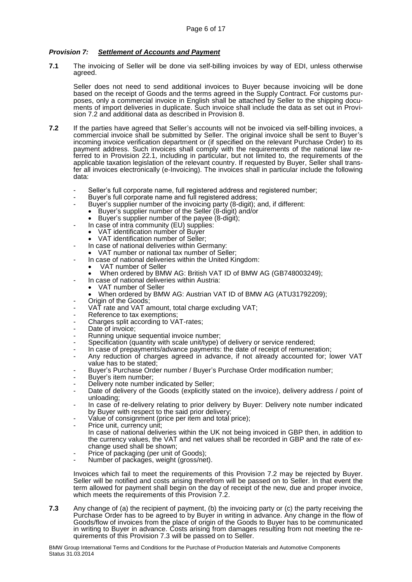# *Provision 7: Settlement of Accounts and Payment*

**7.1** The invoicing of Seller will be done via self-billing invoices by way of EDI, unless otherwise agreed.

Seller does not need to send additional invoices to Buyer because invoicing will be done based on the receipt of Goods and the terms agreed in the Supply Contract. For customs purposes, only a commercial invoice in English shall be attached by Seller to the shipping documents of import deliveries in duplicate. Such invoice shall include the data as set out in Provision 7.2 and additional data as described in Provision 8.

- **7.2** If the parties have agreed that Seller's accounts will not be invoiced via self-billing invoices, a commercial invoice shall be submitted by Seller. The original invoice shall be sent to Buyer's incoming invoice verification department or (if specified on the relevant Purchase Order) to its payment address. Such invoices shall comply with the requirements of the national law referred to in Provision 22.1, including in particular, but not limited to, the requirements of the applicable taxation legislation of the relevant country. If requested by Buyer, Seller shall transfer all invoices electronically (e-Invoicing). The invoices shall in particular include the following data:
	- Seller's full corporate name, full registered address and registered number;
	- Buyer's full corporate name and full registered address;
		- Buyer's supplier number of the invoicing party (8-digit); and, if different:
		- Buyer's supplier number of the Seller (8-digit) and/or
		- Buyer's supplier number of the payee (8-digit);
	- In case of intra community (EU) supplies:
		- VAT identification number of Buyer
	- VAT identification number of Seller;
	- In case of national deliveries within Germany:
	- VAT number or national tax number of Seller;
	- In case of national deliveries within the United Kingdom:
		- VAT number of Seller
		- When ordered by BMW AG: British VAT ID of BMW AG (GB748003249);
	- In case of national deliveries within Austria:
	- VAT number of Seller
	- When ordered by BMW AG: Austrian VAT ID of BMW AG (ATU31792209);
	- Origin of the Goods:
	- VAT rate and VAT amount, total charge excluding VAT;
	- Reference to tax exemptions;
	- Charges split according to VAT-rates;
	- Date of invoice;
	- Running unique sequential invoice number;
	- Specification (quantity with scale unit/type) of delivery or service rendered;
	- In case of prepayments/advance payments: the date of receipt of remuneration;
	- Any reduction of charges agreed in advance, if not already accounted for; lower VAT value has to be stated:
	- Buyer's Purchase Order number / Buyer's Purchase Order modification number;
	- Buyer's item number;
	- Delivery note number indicated by Seller;
	- Date of delivery of the Goods (explicitly stated on the invoice), delivery address / point of unloading;
	- In case of re-delivery relating to prior delivery by Buyer: Delivery note number indicated by Buyer with respect to the said prior delivery;
	- Value of consignment (price per item and total price);
	- Price unit, currency unit; In case of national deliveries within the UK not being invoiced in GBP then, in addition to the currency values, the VAT and net values shall be recorded in GBP and the rate of exchange used shall be shown;
	- Price of packaging (per unit of Goods);
	- Number of packages, weight (gross/net).

Invoices which fail to meet the requirements of this Provision 7.2 may be rejected by Buyer. Seller will be notified and costs arising therefrom will be passed on to Seller. In that event the term allowed for payment shall begin on the day of receipt of the new, due and proper invoice, which meets the requirements of this Provision 7.2.

**7.3** Any change of (a) the recipient of payment, (b) the invoicing party or (c) the party receiving the Purchase Order has to be agreed to by Buyer in writing in advance. Any change in the flow of Goods/flow of invoices from the place of origin of the Goods to Buyer has to be communicated in writing to Buyer in advance. Costs arising from damages resulting from not meeting the requirements of this Provision 7.3 will be passed on to Seller.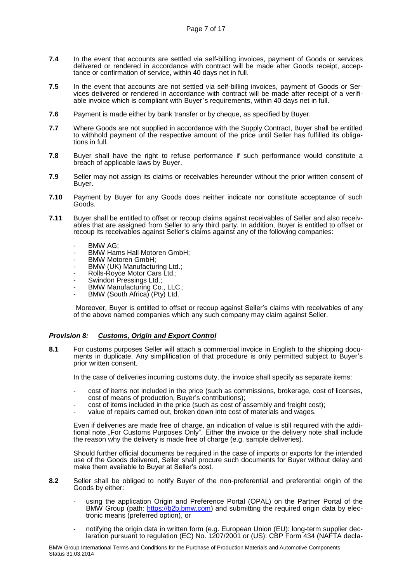- **7.4** In the event that accounts are settled via self-billing invoices, payment of Goods or services delivered or rendered in accordance with contract will be made after Goods receipt, acceptance or confirmation of service, within 40 days net in full.
- 7.5 In the event that accounts are not settled via self-billing invoices, payment of Goods or Services delivered or rendered in accordance with contract will be made after receipt of a verifiable invoice which is compliant with Buyer`s requirements, within 40 days net in full.
- **7.6** Payment is made either by bank transfer or by cheque, as specified by Buyer.
- **7.7** Where Goods are not supplied in accordance with the Supply Contract, Buyer shall be entitled to withhold payment of the respective amount of the price until Seller has fulfilled its obligations in full.
- **7.8** Buyer shall have the right to refuse performance if such performance would constitute a breach of applicable laws by Buyer.
- **7.9** Seller may not assign its claims or receivables hereunder without the prior written consent of Buyer.
- **7.10** Payment by Buyer for any Goods does neither indicate nor constitute acceptance of such Goods.
- **7.11** Buyer shall be entitled to offset or recoup claims against receivables of Seller and also receivables that are assigned from Seller to any third party. In addition, Buyer is entitled to offset or recoup its receivables against Seller's claims against any of the following companies:
	- BMW AG;
	- BMW Hams Hall Motoren GmbH;
	- BMW Motoren GmbH;
	- BMW (UK) Manufacturing Ltd.;
	- Rolls-Royce Motor Cars Ltd.;
	- Swindon Pressings Ltd.;
	- BMW Manufacturing Co., LLC.;
	- BMW (South Africa) (Pty) Ltd.

 Moreover, Buyer is entitled to offset or recoup against Seller's claims with receivables of any of the above named companies which any such company may claim against Seller.

## *Provision 8: Customs, Origin and Export Control*

**8.1** For customs purposes Seller will attach a commercial invoice in English to the shipping documents in duplicate. Any simplification of that procedure is only permitted subject to Buyer's prior written consent.

In the case of deliveries incurring customs duty, the invoice shall specify as separate items:

- cost of items not included in the price (such as commissions, brokerage, cost of licenses, cost of means of production, Buyer's contributions);
- cost of items included in the price (such as cost of assembly and freight cost);
- value of repairs carried out, broken down into cost of materials and wages.

Even if deliveries are made free of charge, an indication of value is still required with the additional note "For Customs Purposes Only". Either the invoice or the delivery note shall include the reason why the delivery is made free of charge (e.g. sample deliveries).

Should further official documents be required in the case of imports or exports for the intended use of the Goods delivered, Seller shall procure such documents for Buyer without delay and make them available to Buyer at Seller's cost.

- **8.2** Seller shall be obliged to notify Buyer of the non-preferential and preferential origin of the Goods by either:
	- using the application Origin and Preference Portal (OPAL) on the Partner Portal of the BMW Group (path: [https://b2b.bmw.com\)](https://b2b.bmw.com/) and submitting the required origin data by electronic means (preferred option), or
	- notifying the origin data in written form (e.g. European Union (EU): long-term supplier declaration pursuant to regulation (EC) No. 1207/2001 or (US): CBP Form 434 (NAFTA decla-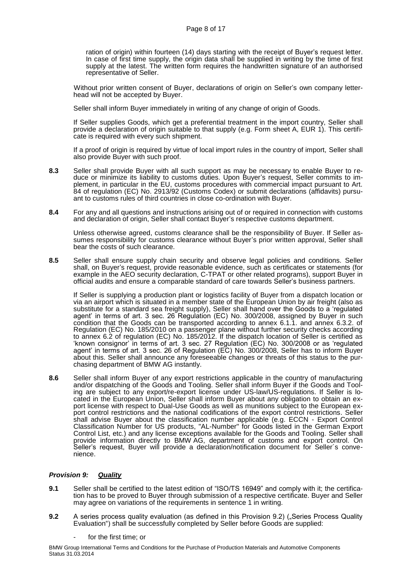ration of origin) within fourteen (14) days starting with the receipt of Buyer's request letter. In case of first time supply, the origin data shall be supplied in writing by the time of first supply at the latest. The written form requires the handwritten signature of an authorised representative of Seller.

 Without prior written consent of Buyer, declarations of origin on Seller's own company letterhead will not be accepted by Buyer.

Seller shall inform Buyer immediately in writing of any change of origin of Goods.

If Seller supplies Goods, which get a preferential treatment in the import country, Seller shall provide a declaration of origin suitable to that supply (e.g. Form sheet A, EUR 1). This certificate is required with every such shipment.

If a proof of origin is required by virtue of local import rules in the country of import, Seller shall also provide Buyer with such proof.

- **8.3** Seller shall provide Buyer with all such support as may be necessary to enable Buyer to reduce or minimize its liability to customs duties. Upon Buyer's request, Seller commits to implement, in particular in the EU, customs procedures with commercial impact pursuant to Art. 84 of regulation (EC) No. 2913/92 (Customs Codex) or submit declarations (affidavits) pursuant to customs rules of third countries in close co-ordination with Buyer.
- **8.4** For any and all questions and instructions arising out of or required in connection with customs and declaration of origin, Seller shall contact Buyer's respective customs department.

Unless otherwise agreed, customs clearance shall be the responsibility of Buyer. If Seller assumes responsibility for customs clearance without Buyer's prior written approval, Seller shall bear the costs of such clearance.

**8.5** Seller shall ensure supply chain security and observe legal policies and conditions. Seller shall, on Buyer's request, provide reasonable evidence, such as certificates or statements (for example in the AEO security declaration, C-TPAT or other related programs), support Buyer in official audits and ensure a comparable standard of care towards Seller's business partners.

 If Seller is supplying a production plant or logistics facility of Buyer from a dispatch location or via an airport which is situated in a member state of the European Union by air freight (also as substitute for a standard sea freight supply), Seller shall hand over the Goods to a 'regulated agent' in terms of art. 3 sec. 26 Regulation (EC) No. 300/2008, assigned by Buyer in such condition that the Goods can be transported according to annex 6.1.1. and annex 6.3.2. of Regulation (EC) No. 185/2010 on a passenger plane without further security checks according to annex 6.2 of regulation (EC) No. 185/2012. If the dispatch location of Seller is certified as 'known consignor' in terms of art. 3 sec. 27 Regulation (EC) No. 300/2008 or as 'regulated agent' in terms of art. 3 sec. 26 of Regulation (EC) No. 300/2008, Seller has to inform Buyer about this. Seller shall announce any foreseeable changes or threats of this status to the purchasing department of BMW AG instantly.

**8.6** Seller shall inform Buyer of any export restrictions applicable in the country of manufacturing and/or dispatching of the Goods and Tooling. Seller shall inform Buyer if the Goods and Tooling are subject to any export/re-export license under US-law/US-regulations. If Seller is located in the European Union, Seller shall inform Buyer about any obligation to obtain an export license with respect to Dual-Use Goods as well as munitions subject to the European export control restrictions and the national codifications of the export control restrictions. Seller shall advise Buyer about the classification number applicable (e.g. ECCN - Export Control Classification Number for US products, "AL-Number" for Goods listed in the German Export Control List, etc.) and any license exceptions available for the Goods and Tooling. Seller shall provide information directly to BMW AG, department of customs and export control. On Seller's request, Buyer will provide a declaration/notification document for Seller´s convenience.

## *Provision 9: Quality*

- **9.1** Seller shall be certified to the latest edition of "ISO/TS 16949" and comply with it; the certification has to be proved to Buyer through submission of a respective certificate. Buyer and Seller may agree on variations of the requirements in sentence 1 in writing.
- **9.2** A series process quality evaluation (as defined in this Provision 9.2) ("Series Process Quality Evaluation") shall be successfully completed by Seller before Goods are supplied:
	- for the first time; or

BMW Group International Terms and Conditions for the Purchase of Production Materials and Automotive Components Status 31.03.2014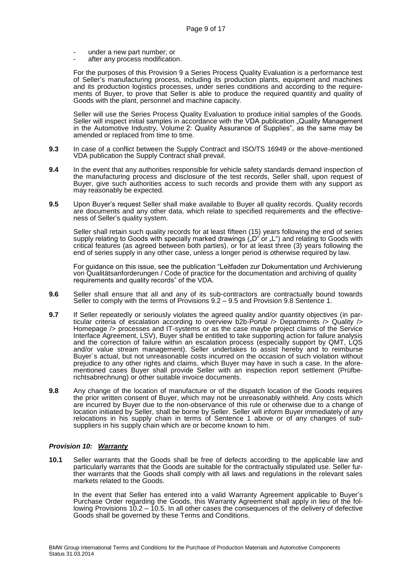- under a new part number; or
- after any process modification.

For the purposes of this Provision 9 a Series Process Quality Evaluation is a performance test of Seller's manufacturing process, including its production plants, equipment and machines and its production logistics processes, under series conditions and according to the requirements of Buyer, to prove that Seller is able to produce the required quantity and quality of Goods with the plant, personnel and machine capacity.

Seller will use the Series Process Quality Evaluation to produce initial samples of the Goods. Seller will inspect initial samples in accordance with the VDA publication "Quality Management in the Automotive Industry, Volume 2: Quality Assurance of Supplies", as the same may be amended or replaced from time to time.

- **9.3** In case of a conflict between the Supply Contract and ISO/TS 16949 or the above-mentioned VDA publication the Supply Contract shall prevail.
- **9.4** In the event that any authorities responsible for vehicle safety standards demand inspection of the manufacturing process and disclosure of the test records, Seller shall, upon request of Buyer, give such authorities access to such records and provide them with any support as may reasonably be expected.
- **9.5** Upon Buyer's request Seller shall make available to Buyer all quality records. Quality records are documents and any other data, which relate to specified requirements and the effectiveness of Seller's quality system.

Seller shall retain such quality records for at least fifteen (15) years following the end of series supply relating to Goods with specially marked drawings  $\hat{L}$ <sup>"</sup> or  $\hat{L}$ ") and relating to Goods with critical features (as agreed between both parties), or for at least three (3) years following the end of series supply in any other case, unless a longer period is otherwise required by law.

For guidance on this issue, see the publication "Leitfaden zur Dokumentation und Archivierung von Qualitätsanforderungen / Code of practice for the documentation and archiving of quality requirements and quality records" of the VDA.

- **9.6** Seller shall ensure that all and any of its sub-contractors are contractually bound towards Seller to comply with the terms of Provisions 9.2 – 9.5 and Provision 9.8 Sentence 1.
- **9.7** If Seller repeatedly or seriously violates the agreed quality and/or quantity objectives (in particular criteria of escalation according to overview b2b-Portal /> Departments /> Quality /> Homepage /> processes and IT-systems or as the case maybe project claims of the Service Interface Agreement, LSV), Buyer shall be entitled to take supporting action for failure analysis and the correction of failure within an escalation process (especially support by QMT, LQS and/or value stream management). Seller undertakes to assist hereby and to reimburse Buyer`s actual, but not unreasonable costs incurred on the occasion of such violation without prejudice to any other rights and claims, which Buyer may have in such a case. In the aforementioned cases Buyer shall provide Seller with an inspection report settlement (Prüfberichtsabrechnung) or other suitable invoice documents.
- **9.8** Any change of the location of manufacture or of the dispatch location of the Goods requires the prior written consent of Buyer, which may not be unreasonably withheld. Any costs which are incurred by Buyer due to the non-observance of this rule or otherwise due to a change of location initiated by Seller, shall be borne by Seller. Seller will inform Buyer immediately of any relocations in his supply chain in terms of Sentence 1 above or of any changes of subsuppliers in his supply chain which are or become known to him.

#### *Provision 10: Warranty*

**10.1** Seller warrants that the Goods shall be free of defects according to the applicable law and particularly warrants that the Goods are suitable for the contractually stipulated use. Seller further warrants that the Goods shall comply with all laws and regulations in the relevant sales markets related to the Goods.

In the event that Seller has entered into a valid Warranty Agreement applicable to Buyer's Purchase Order regarding the Goods, this Warranty Agreement shall apply in lieu of the following Provisions 10.2 - 10.5. In all other cases the consequences of the delivery of defective Goods shall be governed by these Terms and Conditions.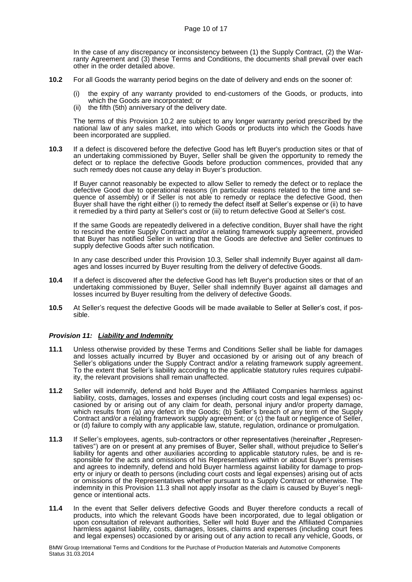In the case of any discrepancy or inconsistency between (1) the Supply Contract, (2) the Warranty Agreement and (3) these Terms and Conditions, the documents shall prevail over each other in the order detailed above.

- **10.2** For all Goods the warranty period begins on the date of delivery and ends on the sooner of:
	- (i) the expiry of any warranty provided to end-customers of the Goods, or products, into which the Goods are incorporated; or
	- (ii) the fifth (5th) anniversary of the delivery date.

The terms of this Provision 10.2 are subject to any longer warranty period prescribed by the national law of any sales market, into which Goods or products into which the Goods have been incorporated are supplied.

**10.3** If a defect is discovered before the defective Good has left Buyer's production sites or that of an undertaking commissioned by Buyer, Seller shall be given the opportunity to remedy the defect or to replace the defective Goods before production commences, provided that any such remedy does not cause any delay in Buyer's production.

If Buyer cannot reasonably be expected to allow Seller to remedy the defect or to replace the defective Good due to operational reasons (in particular reasons related to the time and sequence of assembly) or if Seller is not able to remedy or replace the defective Good, then Buyer shall have the right either (i) to remedy the defect itself at Seller's expense or (ii) to have it remedied by a third party at Seller's cost or (iii) to return defective Good at Seller's cost.

If the same Goods are repeatedly delivered in a defective condition, Buyer shall have the right to rescind the entire Supply Contract and/or a relating framework supply agreement, provided that Buyer has notified Seller in writing that the Goods are defective and Seller continues to supply defective Goods after such notification.

In any case described under this Provision 10.3, Seller shall indemnify Buyer against all damages and losses incurred by Buyer resulting from the delivery of defective Goods.

- **10.4** If a defect is discovered after the defective Good has left Buyer's production sites or that of an undertaking commissioned by Buyer, Seller shall indemnify Buyer against all damages and losses incurred by Buyer resulting from the delivery of defective Goods.
- **10.5** At Seller's request the defective Goods will be made available to Seller at Seller's cost, if possible.

# *Provision 11: Liability and Indemnity*

- **11.1** Unless otherwise provided by these Terms and Conditions Seller shall be liable for damages and losses actually incurred by Buyer and occasioned by or arising out of any breach of Seller's obligations under the Supply Contract and/or a relating framework supply agreement. To the extent that Seller's liability according to the applicable statutory rules requires culpability, the relevant provisions shall remain unaffected.
- **11.2** Seller will indemnify, defend and hold Buyer and the Affiliated Companies harmless against liability, costs, damages, losses and expenses (including court costs and legal expenses) occasioned by or arising out of any claim for death, personal injury and/or property damage, which results from (a) any defect in the Goods; (b) Seller's breach of any term of the Supply Contract and/or a relating framework supply agreement; or (c) the fault or negligence of Seller, or (d) failure to comply with any applicable law, statute, regulation, ordinance or promulgation.
- **11.3** If Seller's employees, agents, sub-contractors or other representatives (hereinafter "Representatives") are on or present at any premises of Buyer, Seller shall, without prejudice to Seller's liability for agents and other auxiliaries according to applicable statutory rules, be and is responsible for the acts and omissions of his Representatives within or about Buyer's premises and agrees to indemnify, defend and hold Buyer harmless against liability for damage to property or injury or death to persons (including court costs and legal expenses) arising out of acts or omissions of the Representatives whether pursuant to a Supply Contract or otherwise. The indemnity in this Provision 11.3 shall not apply insofar as the claim is caused by Buyer's negligence or intentional acts.
- **11.4** In the event that Seller delivers defective Goods and Buyer therefore conducts a recall of products, into which the relevant Goods have been incorporated, due to legal obligation or upon consultation of relevant authorities, Seller will hold Buyer and the Affiliated Companies harmless against liability, costs, damages, losses, claims and expenses (including court fees and legal expenses) occasioned by or arising out of any action to recall any vehicle, Goods, or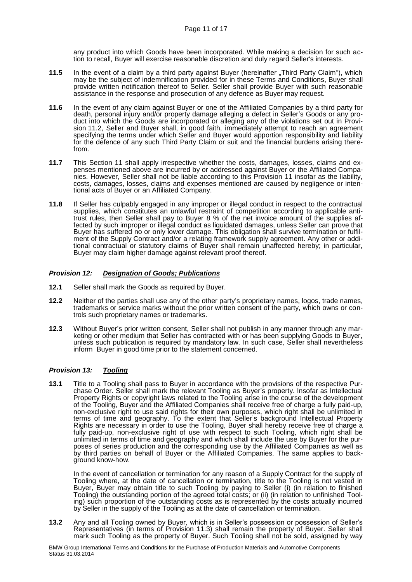any product into which Goods have been incorporated. While making a decision for such action to recall, Buyer will exercise reasonable discretion and duly regard Seller's interests.

- **11.5** In the event of a claim by a third party against Buyer (hereinafter "Third Party Claim"), which may be the subject of indemnification provided for in these Terms and Conditions, Buyer shall provide written notification thereof to Seller. Seller shall provide Buyer with such reasonable assistance in the response and prosecution of any defence as Buyer may request.
- **11.6** In the event of any claim against Buyer or one of the Affiliated Companies by a third party for death, personal injury and/or property damage alleging a defect in Seller's Goods or any product into which the Goods are incorporated or alleging any of the violations set out in Provision 11.2, Seller and Buyer shall, in good faith, immediately attempt to reach an agreement specifying the terms under which Seller and Buyer would apportion responsibility and liability for the defence of any such Third Party Claim or suit and the financial burdens arising therefrom.
- **11.7** This Section 11 shall apply irrespective whether the costs, damages, losses, claims and expenses mentioned above are incurred by or addressed against Buyer or the Affiliated Companies. However, Seller shall not be liable according to this Provision 11 insofar as the liability, costs, damages, losses, claims and expenses mentioned are caused by negligence or intentional acts of Buyer or an Affiliated Company.
- **11.8** If Seller has culpably engaged in any improper or illegal conduct in respect to the contractual supplies, which constitutes an unlawful restraint of competition according to applicable antitrust rules, then Seller shall pay to Buyer 8 % of the net invoice amount of the supplies affected by such improper or illegal conduct as liquidated damages, unless Seller can prove that Buyer has suffered no or only lower damage. This obligation shall survive termination or fulfilment of the Supply Contract and/or a relating framework supply agreement. Any other or additional contractual or statutory claims of Buyer shall remain unaffected hereby; in particular, Buyer may claim higher damage against relevant proof thereof.

## *Provision 12: Designation of Goods; Publications*

- **12.1** Seller shall mark the Goods as required by Buyer.
- **12.2** Neither of the parties shall use any of the other party's proprietary names, logos, trade names, trademarks or service marks without the prior written consent of the party, which owns or controls such proprietary names or trademarks.
- **12.3** Without Buyer's prior written consent, Seller shall not publish in any manner through any marketing or other medium that Seller has contracted with or has been supplying Goods to Buyer, unless such publication is required by mandatory law. In such case, Seller shall nevertheless inform Buyer in good time prior to the statement concerned.

## *Provision 13: Tooling*

**13.1** Title to a Tooling shall pass to Buyer in accordance with the provisions of the respective Purchase Order. Seller shall mark the relevant Tooling as Buyer's property. Insofar as Intellectual Property Rights or copyright laws related to the Tooling arise in the course of the development of the Tooling, Buyer and the Affiliated Companies shall receive free of charge a fully paid-up, non-exclusive right to use said rights for their own purposes, which right shall be unlimited in terms of time and geography. To the extent that Seller's background Intellectual Property Rights are necessary in order to use the Tooling, Buyer shall hereby receive free of charge a fully paid-up, non-exclusive right of use with respect to such Tooling, which right shall be unlimited in terms of time and geography and which shall include the use by Buyer for the purposes of series production and the corresponding use by the Affiliated Companies as well as by third parties on behalf of Buyer or the Affiliated Companies. The same applies to background know-how.

In the event of cancellation or termination for any reason of a Supply Contract for the supply of Tooling where, at the date of cancellation or termination, title to the Tooling is not vested in Buyer, Buyer may obtain title to such Tooling by paying to Seller (i) (in relation to finished Tooling) the outstanding portion of the agreed total costs; or (ii) (in relation to unfinished Tooling) such proportion of the outstanding costs as is represented by the costs actually incurred by Seller in the supply of the Tooling as at the date of cancellation or termination.

**13.2** Any and all Tooling owned by Buyer, which is in Seller's possession or possession of Seller's Representatives (in terms of Provision 11.3) shall remain the property of Buyer. Seller shall mark such Tooling as the property of Buyer. Such Tooling shall not be sold, assigned by way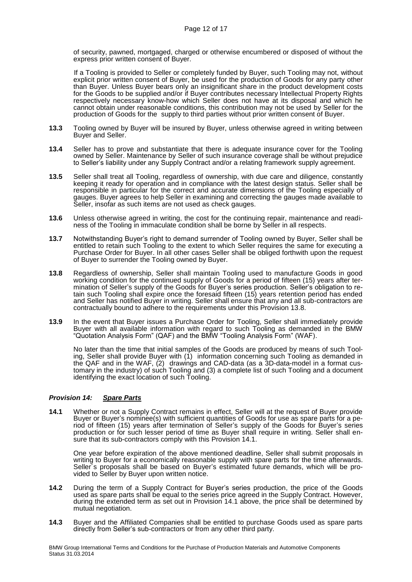of security, pawned, mortgaged, charged or otherwise encumbered or disposed of without the express prior written consent of Buyer.

 If a Tooling is provided to Seller or completely funded by Buyer, such Tooling may not, without explicit prior written consent of Buyer, be used for the production of Goods for any party other than Buyer. Unless Buyer bears only an insignificant share in the product development costs for the Goods to be supplied and/or if Buyer contributes necessary Intellectual Property Rights respectively necessary know-how which Seller does not have at its disposal and which he cannot obtain under reasonable conditions, this contribution may not be used by Seller for the production of Goods for the supply to third parties without prior written consent of Buyer.

- **13.3** Tooling owned by Buyer will be insured by Buyer, unless otherwise agreed in writing between Buyer and Seller.
- **13.4** Seller has to prove and substantiate that there is adequate insurance cover for the Tooling owned by Seller. Maintenance by Seller of such insurance coverage shall be without prejudice to Seller's liability under any Supply Contract and/or a relating framework supply agreement.
- **13.5** Seller shall treat all Tooling, regardless of ownership, with due care and diligence, constantly keeping it ready for operation and in compliance with the latest design status. Seller shall be responsible in particular for the correct and accurate dimensions of the Tooling especially of gauges. Buyer agrees to help Seller in examining and correcting the gauges made available to Seller, insofar as such items are not used as check gauges.
- **13.6** Unless otherwise agreed in writing, the cost for the continuing repair, maintenance and readiness of the Tooling in immaculate condition shall be borne by Seller in all respects.
- **13.7** Notwithstanding Buyer's right to demand surrender of Tooling owned by Buyer, Seller shall be entitled to retain such Tooling to the extent to which Seller requires the same for executing a Purchase Order for Buyer. In all other cases Seller shall be obliged forthwith upon the request of Buyer to surrender the Tooling owned by Buyer.
- **13.8** Regardless of ownership, Seller shall maintain Tooling used to manufacture Goods in good working condition for the continued supply of Goods for a period of fifteen (15) years after termination of Seller's supply of the Goods for Buyer's series production. Seller's obligation to retain such Tooling shall expire once the foresaid fifteen (15) years retention period has ended and Seller has notified Buyer in writing. Seller shall ensure that any and all sub-contractors are contractually bound to adhere to the requirements under this Provision 13.8.
- **13.9** In the event that Buyer issues a Purchase Order for Tooling, Seller shall immediately provide Buyer with all available information with regard to such Tooling as demanded in the BMW "Quotation Analysis Form" (QAF) and the BMW "Tooling Analysis Form" (WAF).

No later than the time that initial samples of the Goods are produced by means of such Tooling, Seller shall provide Buyer with (1) information concerning such Tooling as demanded in the QAF and in the WAF, (2) drawings and CAD-data (as a 3D-data-model in a format customary in the industry) of such Tooling and (3) a complete list of such Tooling and a document identifying the exact location of such Tooling.

## *Provision 14: Spare Parts*

**14.1** Whether or not a Supply Contract remains in effect, Seller will at the request of Buyer provide Buyer or Buyer's nominee(s) with sufficient quantities of Goods for use as spare parts for a period of fifteen (15) years after termination of Seller's supply of the Goods for Buyer's series production or for such lesser period of time as Buyer shall require in writing. Seller shall ensure that its sub-contractors comply with this Provision 14.1.

 One year before expiration of the above mentioned deadline, Seller shall submit proposals in writing to Buyer for a economically reasonable supply with spare parts for the time afterwards. Seller´s proposals shall be based on Buyer's estimated future demands, which will be provided to Seller by Buyer upon written notice.

- **14.2** During the term of a Supply Contract for Buyer's series production, the price of the Goods used as spare parts shall be equal to the series price agreed in the Supply Contract. However, during the extended term as set out in Provision 14.1 above, the price shall be determined by mutual negotiation.
- **14.3** Buyer and the Affiliated Companies shall be entitled to purchase Goods used as spare parts directly from Seller's sub-contractors or from any other third party.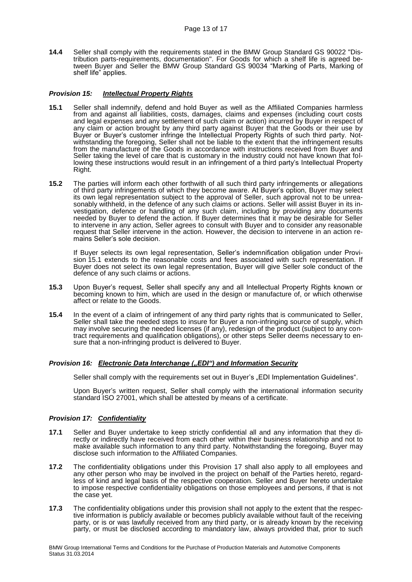**14.4** Seller shall comply with the requirements stated in the BMW Group Standard GS 90022 "Distribution parts-requirements, documentation". For Goods for which a shelf life is agreed between Buyer and Seller the BMW Group Standard GS 90034 "Marking of Parts, Marking of shelf life" applies.

## *Provision 15: Intellectual Property Rights*

- **15.1** Seller shall indemnify, defend and hold Buyer as well as the Affiliated Companies harmless from and against all liabilities, costs, damages, claims and expenses (including court costs and legal expenses and any settlement of such claim or action) incurred by Buyer in respect of any claim or action brought by any third party against Buyer that the Goods or their use by Buyer or Buyer's customer infringe the Intellectual Property Rights of such third party. Notwithstanding the foregoing, Seller shall not be liable to the extent that the infringement results from the manufacture of the Goods in accordance with instructions received from Buyer and Seller taking the level of care that is customary in the industry could not have known that following these instructions would result in an infringement of a third party's Intellectual Property Right.
- **15.2** The parties will inform each other forthwith of all such third party infringements or allegations of third party infringements of which they become aware. At Buyer's option, Buyer may select its own legal representation subject to the approval of Seller, such approval not to be unreasonably withheld, in the defence of any such claims or actions. Seller will assist Buyer in its investigation, defence or handling of any such claim, including by providing any documents needed by Buyer to defend the action. If Buyer determines that it may be desirable for Seller to intervene in any action, Seller agrees to consult with Buyer and to consider any reasonable request that Seller intervene in the action. However, the decision to intervene in an action remains Seller's sole decision.

If Buyer selects its own legal representation, Seller's indemnification obligation under Provision 15.1 extends to the reasonable costs and fees associated with such representation. If Buyer does not select its own legal representation, Buyer will give Seller sole conduct of the defence of any such claims or actions.

- **15.3** Upon Buyer's request, Seller shall specify any and all Intellectual Property Rights known or becoming known to him, which are used in the design or manufacture of, or which otherwise affect or relate to the Goods.
- **15.4** In the event of a claim of infringement of any third party rights that is communicated to Seller, Seller shall take the needed steps to insure for Buyer a non-infringing source of supply, which may involve securing the needed licenses (if any), redesign of the product (subject to any contract requirements and qualification obligations), or other steps Seller deems necessary to ensure that a non-infringing product is delivered to Buyer.

## *Provision 16: Electronic Data Interchange ("EDI") and Information Security*

Seller shall comply with the requirements set out in Buyer's "EDI Implementation Guidelines".

Upon Buyer's written request, Seller shall comply with the international information security standard ISO 27001, which shall be attested by means of a certificate.

## *Provision 17: Confidentiality*

- **17.1** Seller and Buyer undertake to keep strictly confidential all and any information that they directly or indirectly have received from each other within their business relationship and not to make available such information to any third party. Notwithstanding the foregoing, Buyer may disclose such information to the Affiliated Companies.
- **17.2** The confidentiality obligations under this Provision 17 shall also apply to all employees and any other person who may be involved in the project on behalf of the Parties hereto, regardless of kind and legal basis of the respective cooperation. Seller and Buyer hereto undertake to impose respective confidentiality obligations on those employees and persons, if that is not the case yet.
- **17.3** The confidentiality obligations under this provision shall not apply to the extent that the respective information is publicly available or becomes publicly available without fault of the receiving party, or is or was lawfully received from any third party, or is already known by the receiving party, or must be disclosed according to mandatory law, always provided that, prior to such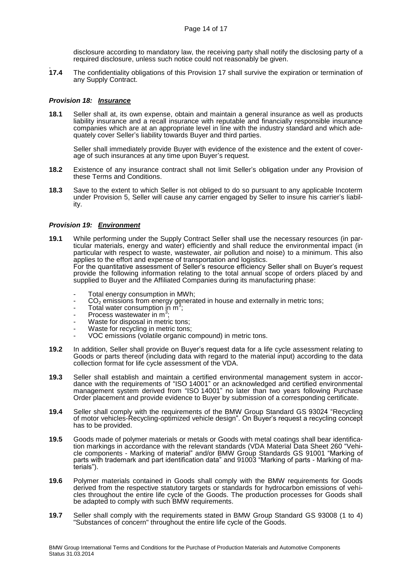disclosure according to mandatory law, the receiving party shall notify the disclosing party of a required disclosure, unless such notice could not reasonably be given.

17.4 **17.4** The confidentiality obligations of this Provision 17 shall survive the expiration or termination of any Supply Contract.

#### *Provision 18: Insurance*

**18.1** Seller shall at, its own expense, obtain and maintain a general insurance as well as products liability insurance and a recall insurance with reputable and financially responsible insurance companies which are at an appropriate level in line with the industry standard and which adequately cover Seller's liability towards Buyer and third parties.

Seller shall immediately provide Buyer with evidence of the existence and the extent of coverage of such insurances at any time upon Buyer's request.

- **18.2** Existence of any insurance contract shall not limit Seller's obligation under any Provision of these Terms and Conditions.
- **18.3** Save to the extent to which Seller is not obliged to do so pursuant to any applicable Incoterm under Provision 5, Seller will cause any carrier engaged by Seller to insure his carrier's liability.

#### *Provision 19: Environment*

- **19.1** While performing under the Supply Contract Seller shall use the necessary resources (in particular materials, energy and water) efficiently and shall reduce the environmental impact (in particular with respect to waste, wastewater, air pollution and noise) to a minimum. This also applies to the effort and expense of transportation and logistics. For the quantitative assessment of Seller's resource efficiency Seller shall on Buyer's request provide the following information relating to the total annual scope of orders placed by and supplied to Buyer and the Affiliated Companies during its manufacturing phase:
	- Total energy consumption in MWh;
	- $CO<sub>2</sub>$  emissions from energy generated in house and externally in metric tons;<br>Total water consumption in  $m<sup>3</sup>$ .
	- $\overline{1}$  Total water consumption in  $\overline{1}^3$ ;
	- Process wastewater in m<sup>3</sup> ;
	- Waste for disposal in metric tons;
	- Waste for recycling in metric tons;
	- VOC emissions (volatile organic compound) in metric tons.
- **19.2** In addition, Seller shall provide on Buyer's request data for a life cycle assessment relating to Goods or parts thereof (including data with regard to the material input) according to the data collection format for life cycle assessment of the VDA.
- **19.3** Seller shall establish and maintain a certified environmental management system in accordance with the requirements of "ISO 14001" or an acknowledged and certified environmental management system derived from "ISO 14001" no later than two years following Purchase Order placement and provide evidence to Buyer by submission of a corresponding certificate.
- **19.4** Seller shall comply with the requirements of the BMW Group Standard GS 93024 "Recycling of motor vehicles-Recycling-optimized vehicle design". On Buyer's request a recycling concept has to be provided.
- **19.5** Goods made of polymer materials or metals or Goods with metal coatings shall bear identification markings in accordance with the relevant standards (VDA Material Data Sheet 260 "Vehicle components - Marking of material" and/or BMW Group Standards GS 91001 "Marking of parts with trademark and part identification data" and 91003 "Marking of parts - Marking of materials").
- **19.6** Polymer materials contained in Goods shall comply with the BMW requirements for Goods derived from the respective statutory targets or standards for hydrocarbon emissions of vehicles throughout the entire life cycle of the Goods. The production processes for Goods shall be adapted to comply with such BMW requirements.
- **19.7** Seller shall comply with the requirements stated in BMW Group Standard GS 93008 (1 to 4) "Substances of concern" throughout the entire life cycle of the Goods.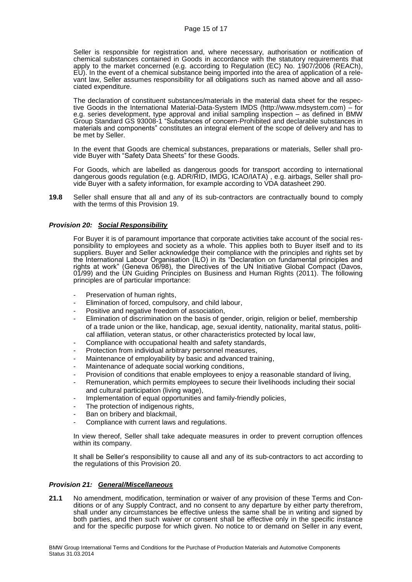Seller is responsible for registration and, where necessary, authorisation or notification of chemical substances contained in Goods in accordance with the statutory requirements that apply to the market concerned (e.g. according to Regulation (EC) No. 1907/2006 (REACh), EU). In the event of a chemical substance being imported into the area of application of a relevant law, Seller assumes responsibility for all obligations such as named above and all associated expenditure.

The declaration of constituent substances/materials in the material data sheet for the respective Goods in the International Material-Data-System IMDS (http://www.mdsystem.com) – for e.g. series development, type approval and initial sampling inspection – as defined in BMW Group Standard GS 93008-1 "Substances of concern-Prohibited and declarable substances in materials and components" constitutes an integral element of the scope of delivery and has to be met by Seller.

In the event that Goods are chemical substances, preparations or materials, Seller shall provide Buyer with "Safety Data Sheets" for these Goods.

For Goods, which are labelled as dangerous goods for transport according to international dangerous goods regulation (e.g. ADR/RID, IMDG, ICAO/IATA), e.g. airbags, Seller shall provide Buyer with a safety information, for example according to VDA datasheet 290.

**19.8** Seller shall ensure that all and any of its sub-contractors are contractually bound to comply with the terms of this Provision 19.

## *Provision 20: Social Responsibility*

For Buyer it is of paramount importance that corporate activities take account of the social responsibility to employees and society as a whole. This applies both to Buyer itself and to its suppliers. Buyer and Seller acknowledge their compliance with the principles and rights set by the International Labour Organisation (ILO) in its "Declaration on fundamental principles and rights at work" (Geneva 06/98), the Directives of the UN Initiative Global Compact (Davos, 01/99) and the UN Guiding Principles on Business and Human Rights (2011). The following principles are of particular importance:

- Preservation of human rights,
- Elimination of forced, compulsory, and child labour,
- Positive and negative freedom of association,
- Elimination of discrimination on the basis of gender, origin, religion or belief, membership of a trade union or the like, handicap, age, sexual identity, nationality, marital status, political affiliation, veteran status, or other characteristics protected by local law,
- Compliance with occupational health and safety standards,
- Protection from individual arbitrary personnel measures,
- Maintenance of employability by basic and advanced training,
- Maintenance of adequate social working conditions,
- Provision of conditions that enable employees to enjoy a reasonable standard of living,
- Remuneration, which permits employees to secure their livelihoods including their social and cultural participation (living wage),
- Implementation of equal opportunities and family-friendly policies,
- The protection of indigenous rights,
- Ban on bribery and blackmail,
- Compliance with current laws and regulations.

In view thereof, Seller shall take adequate measures in order to prevent corruption offences within its company.

It shall be Seller's responsibility to cause all and any of its sub-contractors to act according to the regulations of this Provision 20.

#### *Provision 21: General/Miscellaneous*

**21.1** No amendment, modification, termination or waiver of any provision of these Terms and Conditions or of any Supply Contract, and no consent to any departure by either party therefrom, shall under any circumstances be effective unless the same shall be in writing and signed by both parties, and then such waiver or consent shall be effective only in the specific instance and for the specific purpose for which given. No notice to or demand on Seller in any event,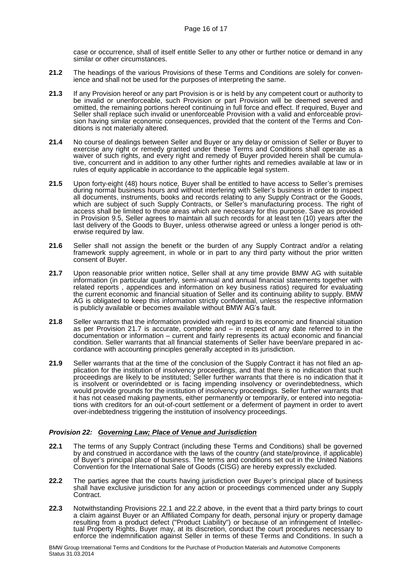case or occurrence, shall of itself entitle Seller to any other or further notice or demand in any similar or other circumstances.

- **21.2** The headings of the various Provisions of these Terms and Conditions are solely for convenience and shall not be used for the purposes of interpreting the same.
- **21.3** If any Provision hereof or any part Provision is or is held by any competent court or authority to be invalid or unenforceable, such Provision or part Provision will be deemed severed and omitted, the remaining portions hereof continuing in full force and effect. If required, Buyer and Seller shall replace such invalid or unenforceable Provision with a valid and enforceable provision having similar economic consequences, provided that the content of the Terms and Conditions is not materially altered.
- **21.4** No course of dealings between Seller and Buyer or any delay or omission of Seller or Buyer to exercise any right or remedy granted under these Terms and Conditions shall operate as a waiver of such rights, and every right and remedy of Buyer provided herein shall be cumulative, concurrent and in addition to any other further rights and remedies available at law or in rules of equity applicable in accordance to the applicable legal system.
- **21.5** Upon forty-eight (48) hours notice, Buyer shall be entitled to have access to Seller's premises during normal business hours and without interfering with Seller's business in order to inspect all documents, instruments, books and records relating to any Supply Contract or the Goods, which are subject of such Supply Contracts, or Seller's manufacturing process. The right of access shall be limited to those areas which are necessary for this purpose. Save as provided in Provision 9.5, Seller agrees to maintain all such records for at least ten (10) years after the last delivery of the Goods to Buyer, unless otherwise agreed or unless a longer period is otherwise required by law.
- **21.6** Seller shall not assign the benefit or the burden of any Supply Contract and/or a relating framework supply agreement, in whole or in part to any third party without the prior written consent of Buyer.
- **21.7** Upon reasonable prior written notice, Seller shall at any time provide BMW AG with suitable information (in particular quarterly, semi-annual and annual financial statements together with related reports , appendices and information on key business ratios) required for evaluating the current economic and financial situation of Seller and its continuing ability to supply. BMW AG is obligated to keep this information strictly confidential, unless the respective information is publicly available or becomes available without BMW AG's fault.
- **21.8** Seller warrants that the information provided with regard to its economic and financial situation as per Provision 21.7 is accurate, complete and  $-$  in respect of any date referred to in the documentation or information – current and fairly represents its actual economic and financial condition. Seller warrants that all financial statements of Seller have been/are prepared in accordance with accounting principles generally accepted in its jurisdiction.
- **21.9** Seller warrants that at the time of the conclusion of the Supply Contract it has not filed an application for the institution of insolvency proceedings, and that there is no indication that such proceedings are likely to be instituted; Seller further warrants that there is no indication that it is insolvent or overindebted or is facing impending insolvency or overindebtedness, which would provide grounds for the institution of insolvency proceedings. Seller further warrants that it has not ceased making payments, either permanently or temporarily, or entered into negotiations with creditors for an out-of-court settlement or a deferment of payment in order to avert over-indebtedness triggering the institution of insolvency proceedings.

## *Provision 22: Governing Law; Place of Venue and Jurisdiction*

- **22.1** The terms of any Supply Contract (including these Terms and Conditions) shall be governed by and construed in accordance with the laws of the country (and state/province, if applicable) of Buyer's principal place of business. The terms and conditions set out in the United Nations Convention for the International Sale of Goods (CISG) are hereby expressly excluded.
- **22.2** The parties agree that the courts having jurisdiction over Buyer's principal place of business shall have exclusive jurisdiction for any action or proceedings commenced under any Supply Contract.
- **22.3** Notwithstanding Provisions 22.1 and 22.2 above, in the event that a third party brings to court a claim against Buyer or an Affiliated Company for death, personal injury or property damage resulting from a product defect ("Product Liability") or because of an infringement of Intellectual Property Rights, Buyer may, at its discretion, conduct the court procedures necessary to enforce the indemnification against Seller in terms of these Terms and Conditions. In such a